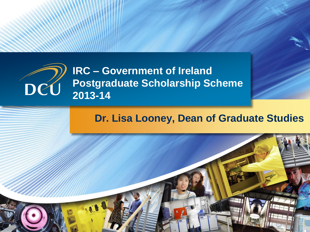

#### **Dr. Lisa Looney, Dean of Graduate Studies**

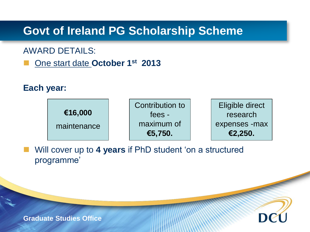#### **Govt of Ireland PG Scholarship Scheme**

#### AWARD DETAILS:

■ One start date October 1<sup>st</sup> 2013

#### **Each year:**



 Will cover up to **4 years** if PhD student 'on a structured programme'

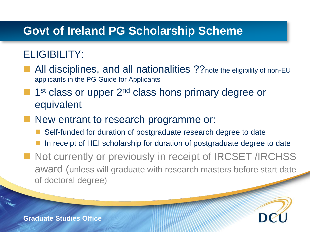#### **Govt of Ireland PG Scholarship Scheme**

#### ELIGIBILITY:

- All disciplines, and all nationalities ?? note the eligibility of non-EU applicants in the PG Guide for Applicants
- 1<sup>st</sup> class or upper 2<sup>nd</sup> class hons primary degree or equivalent
- New entrant to research programme or:
	- Self-funded for duration of postgraduate research degree to date
	- In receipt of HEI scholarship for duration of postgraduate degree to date
- Not currently or previously in receipt of IRCSET /IRCHSS award (unless will graduate with research masters before start date of doctoral degree)

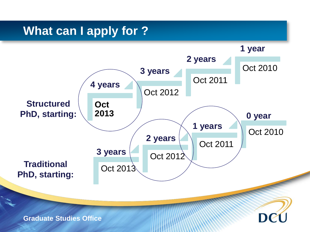### **What can I apply for ?**

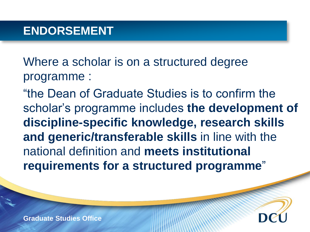Where a scholar is on a structured degree programme :

"the Dean of Graduate Studies is to confirm the scholar's programme includes **the development of discipline-specific knowledge, research skills and generic/transferable skills** in line with the national definition and **meets institutional requirements for a structured programme**"

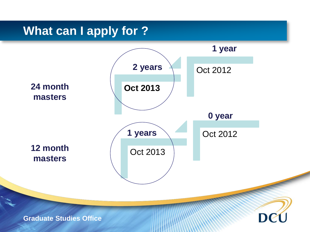### **What can I apply for ?**

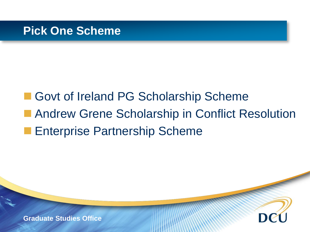### ■ Govt of Ireland PG Scholarship Scheme **Andrew Grene Scholarship in Conflict Resolution Enterprise Partnership Scheme**

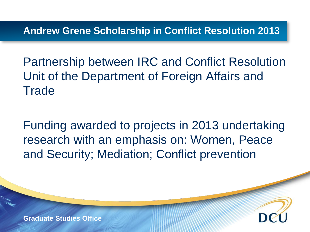**Andrew Grene Scholarship in Conflict Resolution 2013**

Partnership between IRC and Conflict Resolution Unit of the Department of Foreign Affairs and **Trade** 

Funding awarded to projects in 2013 undertaking research with an emphasis on: Women, Peace and Security; Mediation; Conflict prevention

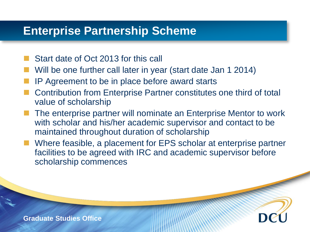#### **Enterprise Partnership Scheme**

- Start date of Oct 2013 for this call
- Will be one further call later in year (start date Jan 1 2014)
- IP Agreement to be in place before award starts
- Contribution from Enterprise Partner constitutes one third of total value of scholarship
- The enterprise partner will nominate an Enterprise Mentor to work with scholar and his/her academic supervisor and contact to be maintained throughout duration of scholarship
- Where feasible, a placement for EPS scholar at enterprise partner facilities to be agreed with IRC and academic supervisor before scholarship commences

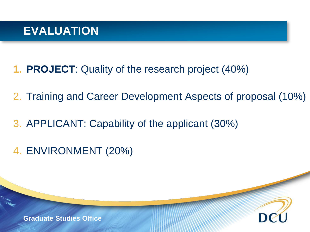#### **EVALUATION**

- **1. PROJECT**: Quality of the research project (40%)
- 2. Training and Career Development Aspects of proposal (10%)
- 3. APPLICANT: Capability of the applicant (30%)
- 4. ENVIRONMENT (20%)

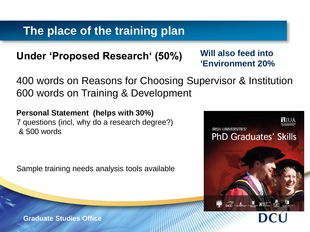#### **The place of the training plan**

#### **Under 'Proposed Research' (50%)**

#### **Will also feed into 'Environment 20%**

400 words on Reasons for Choosing Supervisor & Institution 600 words on Training & Development

**Personal Statement (helps with 30%)** 7 questions (incl, why do a research degree?) & 500 words

Sample training needs analysis tools available

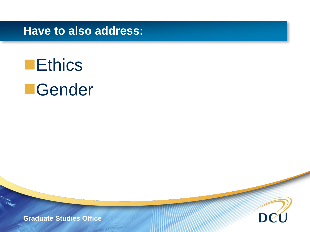**Have to also address:**

# **Ethics Gender**

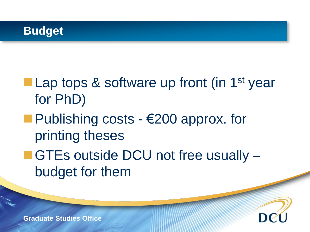

## **Lap tops & software up front (in 1st year** for PhD)

- Publishing costs  $-\epsilon$  200 approx. for printing theses
- GTEs outside DCU not free usually budget for them

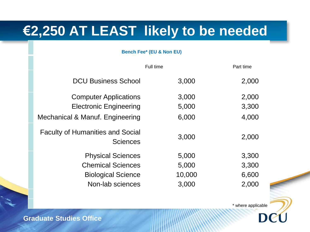### **€2,250 AT LEAST likely to be needed**

#### **Bench Fee\* (EU & Non EU)**

|                                                            | Full time | Part time |
|------------------------------------------------------------|-----------|-----------|
| <b>DCU Business School</b>                                 | 3,000     | 2,000     |
| <b>Computer Applications</b>                               | 3,000     | 2,000     |
| <b>Electronic Engineering</b>                              | 5,000     | 3,300     |
| Mechanical & Manuf. Engineering                            | 6,000     | 4,000     |
| <b>Faculty of Humanities and Social</b><br><b>Sciences</b> | 3,000     | 2,000     |
| <b>Physical Sciences</b>                                   | 5,000     | 3,300     |
| <b>Chemical Sciences</b>                                   | 5,000     | 3,300     |
| <b>Biological Science</b>                                  | 10,000    | 6,600     |
| Non-lab sciences                                           | 3,000     | 2,000     |

\* where applicable